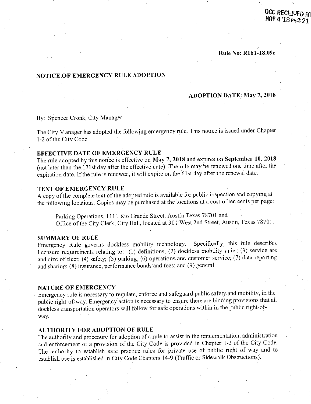#### **Rule No: R161-18.09e**

# **NOTICE OF EMERGENCY RULE ADOPTION**

# **ADOPTION DATE: May 7, 2018**

### By: Spencer Cronk, City Manager

The City Manager has adopted the following emergency rule. This notice.is issued under Chapter 1-2 of the City Code.

#### **EFFECTIVE DATE OF EMERGENCY RULE**

The rule adopted by this notice is effective on May 7, 2018 and expires on September 10, 2018 (not later than the. 121st day after the effective date). The rule may be renewed one time after the expiration date. If the rule is renewed, it will expire on the 61st day after the renewal date.

### **TEXT OF EMERGENCY RULE**

A copy of the complete text of the adopted rule is available for public inspection and copying at the following locations. Copies may be purchased at the locations at a cost of ten cents per page:

Parking Operations, 1111 Rio Grande Street, Austin Texas 78701 and Office of the City Clerk, City Hall, located at 301 West 2nd Street, Austin, Texas 78701.

#### **SUMMARY OF RULE**

Emergency Rule governs dockless mobility technology. Specifically, this rule describes licensure requirements relating to: (1) definitions; (2) dockless mobility units; (3) service are and size of fleet; (4) safety;  $(5)$  parking; (6) operations and customer service; (7) data reporting and sharing; (8) insurance, performance bonds and fees; and (9) general.

#### **NATURE OF EMERGENCY**

Emergency rule is necessary to regulate, enforce and safeguard public safety, and mobility, in the public right-of-way. Emergency action is necessary to ensure there are binding provisions that all dockless transportation operators will follow for safe operations within in the public right-ofway.

### **AUTHORITY FOR ADOPTION OF RULE**

The authority and procedure for adoption of a rule to assist in the implementation, administration and enforcement of a provision of the City Code is provided in Chapter 1-2 of the City Code. The authority to establish safe practice rules for private use of public right of way and to establish use is established in City Code Chapters 14-9 (Traffic or Sidewalk Obstructions).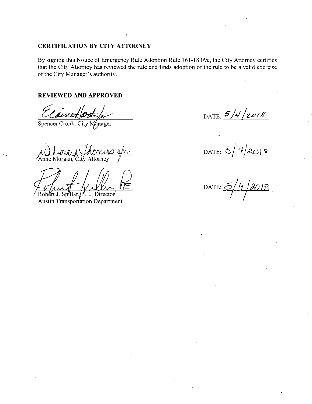# CERTIFICATION BY CITY ATTORNEY

(

By signing this Notice of Emergency Rule Adoption Rule 161-18.09e, the City Attorney certifies that the City Attorney has reviewed the rule and finds adoption of the rule to be a valid exercise, of the City Manager's authority.

# REVIEWED AND APPROVED

 $2n \geq$ 

Spencer Cronk, City Manager

*Anne Morgan, City Attorney* 

 $Rob$ ert J. Spillar,  $n$ <sup>'</sup>.E., Director Austin Transportation Department

DATE:  $5/4/2018$ 

 $\Delta$  DATE:  $\frac{5}{4}$   $\frac{4}{2018}$ 

*DATE: 5/4/2018*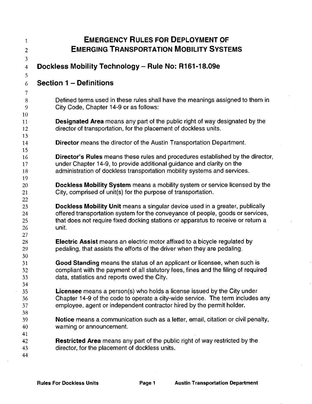| $\mathbf{1}$                     | <b>EMERGENCY RULES FOR DEPLOYMENT OF</b>                                                                                                                                                                                                                    |
|----------------------------------|-------------------------------------------------------------------------------------------------------------------------------------------------------------------------------------------------------------------------------------------------------------|
| $\overline{2}$                   | <b>EMERGING TRANSPORTATION MOBILITY SYSTEMS</b>                                                                                                                                                                                                             |
| $\mathfrak{Z}$<br>$\overline{4}$ | Dockless Mobility Technology - Rule No: R161-18.09e                                                                                                                                                                                                         |
| 5<br>6<br>$\overline{7}$         | <b>Section 1 – Definitions</b>                                                                                                                                                                                                                              |
| 8<br>9                           | Defined terms used in these rules shall have the meanings assigned to them in<br>City Code, Chapter 14-9 or as follows:                                                                                                                                     |
| 10<br>11 <sup>1</sup><br>12      | <b>Designated Area</b> means any part of the public right of way designated by the<br>director of transportation, for the placement of dockless units.                                                                                                      |
| 13<br>14<br>15                   | <b>Director</b> means the director of the Austin Transportation Department.                                                                                                                                                                                 |
| 16<br>17<br>18                   | Director's Rules means these rules and procedures established by the director,<br>under Chapter 14-9, to provide additional guidance and clarity on the<br>administration of dockless transportation mobility systems and services.                         |
| 19<br>20<br>21<br>22             | Dockless Mobility System means a mobility system or service licensed by the<br>City, comprised of unit(s) for the purpose of transportation.                                                                                                                |
| 23<br>24<br>25<br>26             | Dockless Mobility Unit means a singular device used in a greater, publically<br>offered transportation system for the conveyance of people, goods or services,<br>that does not require fixed docking stations or apparatus to receive or return a<br>unit. |
| 27<br>28<br>29<br>30             | <b>Electric Assist</b> means an electric motor affixed to a bicycle regulated by<br>pedaling, that assists the efforts of the driver when they are pedaling.                                                                                                |
| 31<br>32<br>33<br>34             | Good Standing means the status of an applicant or licensee, when such is<br>compliant with the payment of all statutory fees, fines and the filing of required<br>data, statistics and reports owed the City.                                               |
| 35<br>36<br>37<br>38             | <b>Licensee</b> means a person(s) who holds a license issued by the City under<br>Chapter 14-9 of the code to operate a city-wide service. The term includes any<br>employee, agent or independent contractor hired by the permit holder.                   |
| 39<br>40                         | Notice means a communication such as a letter, email, citation or civil penalty,<br>warning or announcement.                                                                                                                                                |
| 41<br>42<br>43<br>44             | <b>Restricted Area</b> means any part of the public right of way restricted by the<br>director, for the placement of dockless units.                                                                                                                        |

J,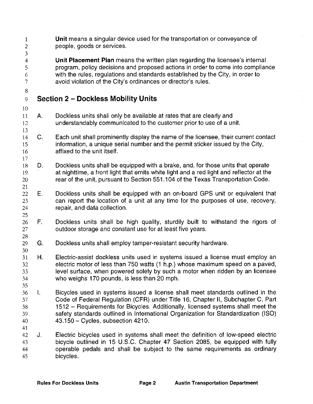| $\mathbf{1}$<br>$\boldsymbol{2}$<br>3               |    | Unit means a singular device used for the transportation or conveyance of<br>people, goods or services.                                                                                                                                                                                                                                                                              |
|-----------------------------------------------------|----|--------------------------------------------------------------------------------------------------------------------------------------------------------------------------------------------------------------------------------------------------------------------------------------------------------------------------------------------------------------------------------------|
| $\overline{\mathbf{4}}$<br>5<br>6<br>$\overline{7}$ |    | Unit Placement Plan means the written plan regarding the licensee's internal<br>program, policy decisions and proposed actions in order to come into compliance<br>with the rules, regulations and standards established by the City, in order to<br>avoid violation of the City's ordinances or director's rules.                                                                   |
| 8<br>9                                              |    | <b>Section 2 - Dockless Mobility Units</b>                                                                                                                                                                                                                                                                                                                                           |
| 10<br>11<br>12<br>13                                | Α. | Dockless units shall only be available at rates that are clearly and<br>understandably communicated to the customer prior to use of a unit.                                                                                                                                                                                                                                          |
| 14<br>15<br>16                                      | C. | Each unit shall prominently display the name of the licensee, their current contact<br>information, a unique serial number and the permit sticker issued by the City,<br>affixed to the unit itself.                                                                                                                                                                                 |
| 17<br>18<br>19<br>20<br>21                          | D. | Dockless units shall be equipped with a brake, and, for those units that operate<br>at nighttime, a front light that emits white light and a red light and reflector at the<br>rear of the unit, pursuant to Section 551.104 of the Texas Transportation Code.                                                                                                                       |
| 22<br>23<br>24<br>25                                | Ε. | Dockless units shall be equipped with an on-board GPS unit or equivalent that<br>can report the location of a unit at any time for the purposes of use, recovery,<br>repair, and data collection.                                                                                                                                                                                    |
| 26<br>27<br>28                                      | F. | Dockless units shall be high quality, sturdily built to withstand the rigors of<br>outdoor storage and constant use for at least five years.                                                                                                                                                                                                                                         |
| 29<br>30                                            | G. | Dockless units shall employ tamper-resistant security hardware.                                                                                                                                                                                                                                                                                                                      |
| 31<br>32<br>33<br>34<br>35                          | Н. | Electric-assist dockless units used in systems issued a license must employ an<br>electric motor of less than 750 watts (1 h.p.) whose maximum speed on a paved,<br>level surface, when powered solely by such a motor when ridden by an licensee<br>who weighs 170 pounds, is less than 20 mph.                                                                                     |
| 36<br>37<br>38<br>39<br>40                          | T. | Bicycles used in systems issued a license shall meet standards outlined in the<br>Code of Federal Regulation (CFR) under Title 16, Chapter II, Subchapter C, Part<br>1512 – Requirements for Bicycles. Additionally, licensed systems shall meet the<br>safety standards outlined in International Organization for Standardization (ISO)<br>$43.150 - C$ ycles, subsection $4210$ . |
| 41<br>42<br>43<br>44<br>45                          | J. | Electric bicycles used in systems shall meet the definition of low-speed electric<br>bicycle outlined in 15 U.S.C. Chapter 47 Section 2085, be equipped with fully<br>operable pedals and shall be subject to the same requirements as ordinary<br>bicycles.                                                                                                                         |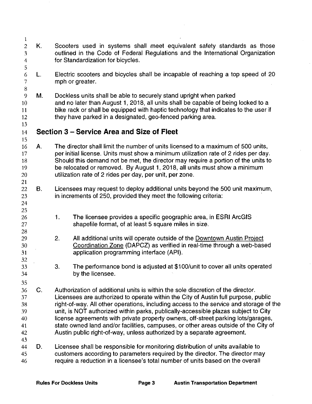| 1                                                               |             |                                                                                                                                                                                                                                                                                                                                                                                                                                                                                                                                                                                                              |
|-----------------------------------------------------------------|-------------|--------------------------------------------------------------------------------------------------------------------------------------------------------------------------------------------------------------------------------------------------------------------------------------------------------------------------------------------------------------------------------------------------------------------------------------------------------------------------------------------------------------------------------------------------------------------------------------------------------------|
| $\mathbf{2}$<br>$\mathfrak{Z}$<br>$\overline{4}$<br>$\mathsf S$ | Κ.          | Scooters used in systems shall meet equivalent safety standards as those<br>outlined in the Code of Federal Regulations and the International Organization<br>for Standardization for bicycles.                                                                                                                                                                                                                                                                                                                                                                                                              |
| 6<br>$\overline{7}$<br>8                                        | L.          | Electric scooters and bicycles shall be incapable of reaching a top speed of 20<br>mph or greater.                                                                                                                                                                                                                                                                                                                                                                                                                                                                                                           |
| 9<br>10<br>11<br>12<br>13                                       | М.          | Dockless units shall be able to securely stand upright when parked<br>and no later than August 1, 2018, all units shall be capable of being locked to a<br>bike rack or shall be equipped with haptic technology that indicates to the user if<br>they have parked in a designated, geo-fenced parking area.                                                                                                                                                                                                                                                                                                 |
| 14                                                              |             | Section 3 – Service Area and Size of Fleet                                                                                                                                                                                                                                                                                                                                                                                                                                                                                                                                                                   |
| 15<br>16<br>17<br>18<br>19<br>20<br>21                          | Α.          | The director shall limit the number of units licensed to a maximum of 500 units,<br>per initial license. Units must show a minimum utilization rate of 2 rides per day.<br>Should this demand not be met, the director may require a portion of the units to<br>be relocated or removed. By August 1, 2018, all units must show a minimum<br>utilization rate of 2 rides per day, per unit, per zone.                                                                                                                                                                                                        |
| 22<br>23<br>24<br>25                                            | В.          | Licensees may request to deploy additional units beyond the 500 unit maximum,<br>in increments of 250, provided they meet the following criteria:                                                                                                                                                                                                                                                                                                                                                                                                                                                            |
| 26<br>27<br>28                                                  |             | The licensee provides a specific geographic area, in ESRI ArcGIS<br>1.<br>shapefile format, of at least 5 square miles in size.                                                                                                                                                                                                                                                                                                                                                                                                                                                                              |
| 29<br>30<br>31<br>32                                            |             | 2.<br>All additional units will operate outside of the Downtown Austin Project<br>Coordination Zone (DAPCZ) as verified in real-time through a web-based<br>application programming interface (API).                                                                                                                                                                                                                                                                                                                                                                                                         |
| 33<br>34<br>35                                                  |             | 3.<br>The performance bond is adjusted at \$100/unit to cover all units operated<br>by the licensee.                                                                                                                                                                                                                                                                                                                                                                                                                                                                                                         |
| 36<br>37<br>38<br>39<br>40<br>41<br>42<br>43                    | $C_{\cdot}$ | Authorization of additional units is within the sole discretion of the director.<br>Licensees are authorized to operate within the City of Austin full purpose, public<br>right-of-way. All other operations, including access to the service and storage of the<br>unit, is NOT authorized within parks, publically-accessible plazas subject to City<br>license agreements with private property owners, off-street parking lots/garages,<br>state owned land and/or facilities, campuses, or other areas outside of the City of<br>Austin public right-of-way, unless authorized by a separate agreement. |
| 44<br>45<br>46                                                  | D.          | Licensee shall be responsible for monitoring distribution of units available to<br>customers according to parameters required by the director. The director may<br>require a reduction in a licensee's total number of units based on the overall                                                                                                                                                                                                                                                                                                                                                            |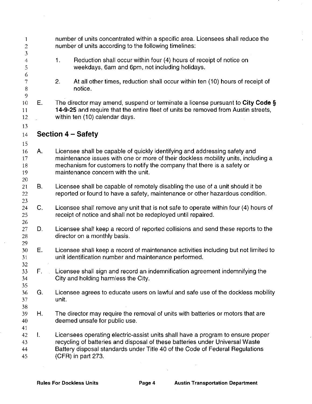| 1<br>$\mathbf{2}$                     |               | number of units concentrated within a specific area. Licensees shall reduce the<br>number of units according to the following timelines:                                                                                                                                         |
|---------------------------------------|---------------|----------------------------------------------------------------------------------------------------------------------------------------------------------------------------------------------------------------------------------------------------------------------------------|
| $\mathfrak{Z}$<br>$\overline{4}$<br>5 |               | Reduction shall occur within four (4) hours of receipt of notice on<br>1 <sub>1</sub><br>weekdays, 6am and 6pm, not including holidays.                                                                                                                                          |
| 6<br>7<br>$\, 8$<br>$\boldsymbol{9}$  |               | 2.<br>At all other times, reduction shall occur within ten (10) hours of receipt of<br>notice.                                                                                                                                                                                   |
| 10<br>11<br>12.                       | Е.            | The director may amend, suspend or terminate a license pursuant to City Code §<br>14-9-25 and require that the entire fleet of units be removed from Austin streets,<br>within ten (10) calendar days.                                                                           |
| 13<br>14                              |               | Section 4 – Safety                                                                                                                                                                                                                                                               |
| 15<br>16<br>17<br>18<br>19<br>20      | Α.            | Licensee shall be capable of quickly identifying and addressing safety and<br>maintenance issues with one or more of their dockless mobility units, including a<br>mechanism for customers to notify the company that there is a safety or<br>maintenance concern with the unit. |
| 21<br>22<br>23                        | В.            | Licensee shall be capable of remotely disabling the use of a unit should it be<br>reported or found to have a safety, maintenance or other hazardous condition.                                                                                                                  |
| 24<br>25                              | $\mathbf C$ . | Licensee shall remove any unit that is not safe to operate within four (4) hours of<br>receipt of notice and shall not be redeployed until repaired.                                                                                                                             |
| 26<br>27<br>28                        | D.            | Licensee shall keep a record of reported collisions and send these reports to the<br>director on a monthly basis.                                                                                                                                                                |
| 29<br>30<br>31                        | Е.            | Licensee shall keep a record of maintenance activities including but not limited to<br>unit identification number and maintenance performed.                                                                                                                                     |
| 32<br>33<br>34<br>35                  | F.,           | Licensee shall sign and record an indemnification agreement indemnifying the<br>City and holding harmless the City.                                                                                                                                                              |
| 36<br>37                              | G.            | Licensee agrees to educate users on lawful and safe use of the dockless mobility<br>unit.                                                                                                                                                                                        |
| 38<br>39<br>40                        | Η.            | The director may require the removal of units with batteries or motors that are<br>deemed unsafe for public use.                                                                                                                                                                 |
| 41<br>42<br>43<br>44<br>45            | L.            | Licensees operating electric-assist units shall have a program to ensure proper<br>recycling of batteries and disposal of these batteries under Universal Waste<br>Battery disposal standards under Title 40 of the Code of Federal Regulations<br>(CFR) in part 273.            |
|                                       |               |                                                                                                                                                                                                                                                                                  |

 $\bar{\beta}$ 

 $\bar{z}$ 

 $\bar{z}$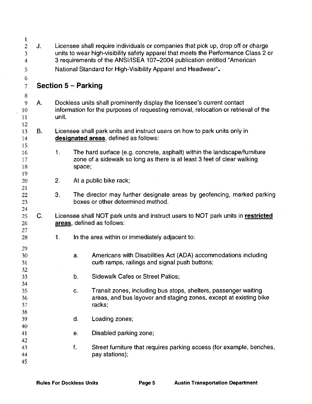| 1                                                |    |                                                                                                                                                                                                                                                   |                                                                                                             |  |  |  |  |
|--------------------------------------------------|----|---------------------------------------------------------------------------------------------------------------------------------------------------------------------------------------------------------------------------------------------------|-------------------------------------------------------------------------------------------------------------|--|--|--|--|
| $\boldsymbol{2}$<br>3<br>$\overline{\mathbf{4}}$ | J. | Licensee shall require individuals or companies that pick up, drop off or charge<br>units to wear high-visibility safety apparel that meets the Performance Class 2 or<br>3 requirements of the ANSI/ISEA 107-2004 publication entitled "American |                                                                                                             |  |  |  |  |
| 5                                                |    |                                                                                                                                                                                                                                                   | National Standard for High-Visibility Apparel and Headwear".                                                |  |  |  |  |
| 6                                                |    |                                                                                                                                                                                                                                                   |                                                                                                             |  |  |  |  |
| $\overline{7}$                                   |    |                                                                                                                                                                                                                                                   | <b>Section 5 - Parking</b>                                                                                  |  |  |  |  |
| 8<br>9                                           | А. |                                                                                                                                                                                                                                                   | Dockless units shall prominently display the licensee's current contact                                     |  |  |  |  |
| 10                                               |    |                                                                                                                                                                                                                                                   | information for the purposes of requesting removal, relocation or retrieval of the                          |  |  |  |  |
| 11                                               |    | unit.                                                                                                                                                                                                                                             |                                                                                                             |  |  |  |  |
| 12                                               |    |                                                                                                                                                                                                                                                   |                                                                                                             |  |  |  |  |
| 13                                               | В. |                                                                                                                                                                                                                                                   | Licensee shall park units and instruct users on how to park units only in                                   |  |  |  |  |
| 14                                               |    |                                                                                                                                                                                                                                                   | designated areas, defined as follows:                                                                       |  |  |  |  |
| 15<br>16                                         |    | 1.                                                                                                                                                                                                                                                | The hard surface (e.g. concrete, asphalt) within the landscape/furniture                                    |  |  |  |  |
| 17                                               |    |                                                                                                                                                                                                                                                   | zone of a sidewalk so long as there is at least 3 feet of clear walking                                     |  |  |  |  |
| 18                                               |    |                                                                                                                                                                                                                                                   | space;                                                                                                      |  |  |  |  |
| 19                                               |    |                                                                                                                                                                                                                                                   |                                                                                                             |  |  |  |  |
| 20                                               |    | 2.                                                                                                                                                                                                                                                | At a public bike rack;                                                                                      |  |  |  |  |
| 21                                               |    |                                                                                                                                                                                                                                                   |                                                                                                             |  |  |  |  |
| 22<br>23                                         |    | 3.                                                                                                                                                                                                                                                | The director may further designate areas by geofencing, marked parking<br>boxes or other determined method. |  |  |  |  |
| 24                                               |    |                                                                                                                                                                                                                                                   |                                                                                                             |  |  |  |  |
| 25                                               | C. |                                                                                                                                                                                                                                                   | Licensee shall NOT park units and instruct users to NOT park units in restricted                            |  |  |  |  |
| 26                                               |    |                                                                                                                                                                                                                                                   | areas, defined as follows:                                                                                  |  |  |  |  |
| 27                                               |    |                                                                                                                                                                                                                                                   |                                                                                                             |  |  |  |  |
| 28                                               |    | $-1.$                                                                                                                                                                                                                                             | In the area within or immediately adjacent to:                                                              |  |  |  |  |
| 29                                               |    |                                                                                                                                                                                                                                                   |                                                                                                             |  |  |  |  |
| 30                                               |    |                                                                                                                                                                                                                                                   | Americans with Disabilities Act (ADA) accommodations including<br>a.                                        |  |  |  |  |
| 31                                               |    |                                                                                                                                                                                                                                                   | curb ramps, railings and signal push buttons;                                                               |  |  |  |  |
| 32                                               |    |                                                                                                                                                                                                                                                   | <b>Sidewalk Cafes or Street Patios;</b>                                                                     |  |  |  |  |
| 33<br>34                                         |    |                                                                                                                                                                                                                                                   | b.                                                                                                          |  |  |  |  |
| 35                                               |    |                                                                                                                                                                                                                                                   | Transit zones, including bus stops, shelters, passenger waiting<br>C.                                       |  |  |  |  |
| 36                                               |    |                                                                                                                                                                                                                                                   | areas, and bus layover and staging zones, except at existing bike                                           |  |  |  |  |
| 37                                               |    |                                                                                                                                                                                                                                                   | racks;                                                                                                      |  |  |  |  |
| 38                                               |    |                                                                                                                                                                                                                                                   |                                                                                                             |  |  |  |  |
| 39                                               |    |                                                                                                                                                                                                                                                   | Loading zones;<br>d.                                                                                        |  |  |  |  |
| 40                                               |    |                                                                                                                                                                                                                                                   | Disabled parking zone;                                                                                      |  |  |  |  |
| 41<br>42                                         |    |                                                                                                                                                                                                                                                   | e.                                                                                                          |  |  |  |  |
| 43                                               |    |                                                                                                                                                                                                                                                   | f.<br>Street furniture that requires parking access (for example, benches,                                  |  |  |  |  |
| 44                                               |    |                                                                                                                                                                                                                                                   | pay stations);                                                                                              |  |  |  |  |
| 45                                               |    |                                                                                                                                                                                                                                                   |                                                                                                             |  |  |  |  |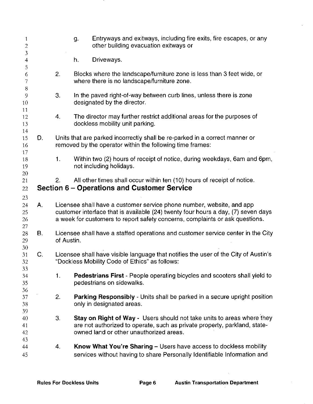| 1<br>$\sqrt{2}$      |                |                                                                                                                                                                                                                                            | Entryways and exitways, including fire exits, fire escapes, or any<br>g.<br>other building evacuation exitways or                                                                              |  |
|----------------------|----------------|--------------------------------------------------------------------------------------------------------------------------------------------------------------------------------------------------------------------------------------------|------------------------------------------------------------------------------------------------------------------------------------------------------------------------------------------------|--|
| 3<br>$\overline{4}$  |                |                                                                                                                                                                                                                                            | Driveways.<br>h.                                                                                                                                                                               |  |
| 5<br>6<br>7          |                | 2.                                                                                                                                                                                                                                         | Blocks where the landscape/furniture zone is less than 3 feet wide, or<br>where there is no landscape/furniture zone.                                                                          |  |
| 8<br>9<br>10         |                | 3.                                                                                                                                                                                                                                         | In the paved right-of-way between curb lines, unless there is zone<br>designated by the director.                                                                                              |  |
| 11<br>12<br>13       |                | 4.                                                                                                                                                                                                                                         | The director may further restrict additional areas for the purposes of<br>dockless mobility unit parking.                                                                                      |  |
| 14<br>15<br>16       | D.             |                                                                                                                                                                                                                                            | Units that are parked incorrectly shall be re-parked in a correct manner or<br>removed by the operator within the following time frames:                                                       |  |
| 17<br>18<br>19       |                | 1.                                                                                                                                                                                                                                         | Within two (2) hours of receipt of notice, during weekdays, 6am and 6pm,<br>not including holidays.                                                                                            |  |
| 20<br>21<br>22       |                | 2.                                                                                                                                                                                                                                         | All other times shall occur within ten (10) hours of receipt of notice.<br>Section 6 – Operations and Customer Service                                                                         |  |
| 23<br>24<br>25<br>26 | Α.             | Licensee shall have a customer service phone number, website, and app<br>customer interface that is available (24) twenty four hours a day, (7) seven days<br>a week for customers to report safety concerns, complaints or ask questions. |                                                                                                                                                                                                |  |
| 27<br>28<br>29       | В.             | Licensee shall have a staffed operations and customer service center in the City<br>of Austin.                                                                                                                                             |                                                                                                                                                                                                |  |
| 30<br>31<br>32<br>33 | $\mathsf{C}$ . |                                                                                                                                                                                                                                            | Licensee shall have visible language that notifies the user of the City of Austin's<br>"Dockless Mobility Code of Ethics" as follows:                                                          |  |
| 34<br>35<br>36       |                | $\mathbf{1}$ .                                                                                                                                                                                                                             | Pedestrians First - People operating bicycles and scooters shall yield to<br>pedestrians on sidewalks.                                                                                         |  |
| 37<br>38<br>39       |                | 2.                                                                                                                                                                                                                                         | Parking Responsibly - Units shall be parked in a secure upright position<br>only in designated areas.                                                                                          |  |
| 40<br>41<br>42       |                | 3.                                                                                                                                                                                                                                         | Stay on Right of Way - Users should not take units to areas where they<br>are not authorized to operate, such as private property, parkland, state-<br>owned land or other unauthorized areas. |  |
| 43<br>44<br>45       |                | 4.                                                                                                                                                                                                                                         | Know What You're Sharing - Users have access to dockless mobility<br>services without having to share Personally Identifiable Information and                                                  |  |

.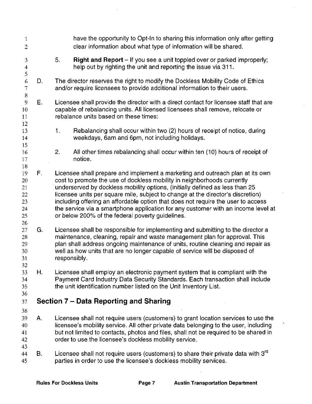| $\mathbf{1}$<br>$\overline{c}$                |    | have the opportunity to Opt-In to sharing this information only after getting<br>clear information about what type of information will be shared.                                                                                                                                                                                                                                                                                                                                                                                                        |
|-----------------------------------------------|----|----------------------------------------------------------------------------------------------------------------------------------------------------------------------------------------------------------------------------------------------------------------------------------------------------------------------------------------------------------------------------------------------------------------------------------------------------------------------------------------------------------------------------------------------------------|
| 3<br>$\overline{\mathbf{4}}$<br>5             |    | 5.<br><b>Right and Report</b> – If you see a unit toppled over or parked improperly;<br>help out by righting the unit and reporting the issue via 311.                                                                                                                                                                                                                                                                                                                                                                                                   |
| 6<br>$\overline{7}$<br>$\,8\,$                | D. | The director reserves the right to modify the Dockless Mobility Code of Ethics<br>and/or require licensees to provide additional information to their users.                                                                                                                                                                                                                                                                                                                                                                                             |
| 9<br>10<br>11<br>12                           | Ε. | Licensee shall provide the director with a direct contact for licensee staff that are<br>capable of rebalancing units. All licensed licensees shall remove, relocate or<br>rebalance units based on these times:                                                                                                                                                                                                                                                                                                                                         |
| 13<br>14<br>15                                |    | 1 <sub>1</sub><br>Rebalancing shall occur within two (2) hours of receipt of notice, during<br>weekdays, 6am and 6pm, not including holidays.                                                                                                                                                                                                                                                                                                                                                                                                            |
| 16<br>17<br>18                                |    | 2.<br>All other times rebalancing shall occur within ten (10) hours of receipt of<br>notice.                                                                                                                                                                                                                                                                                                                                                                                                                                                             |
| 19<br>20<br>21<br>22<br>23<br>24<br>25<br>26  | F. | Licensee shall prepare and implement a marketing and outreach plan at its own<br>cost to promote the use of dockless mobility in neighborhoods currently<br>underserved by dockless mobility options, (initially defined as less than 25<br>licensee units per square mile, subject to change at the director's discretion)<br>including offering an affordable option that does not require the user to access<br>the service via a smartphone application for any customer with an income level at<br>or below 200% of the federal poverty guidelines. |
| 27<br>28<br>29 <sup>°</sup><br>30<br>31<br>32 | G. | Licensee shall be responsible for implementing and submitting to the director a<br>maintenance, cleaning, repair and waste management plan for approval. This<br>plan shall address ongoing maintenance of units, routine cleaning and repair as<br>well as how units that are no longer capable of service will be disposed of<br>responsibly.                                                                                                                                                                                                          |
| 33<br>34<br>35<br>36                          | Η. | Licensee shall employ an electronic payment system that is compliant with the<br>Payment Card Industry Data Security Standards. Each transaction shall include<br>the unit identification number listed on the Unit Inventory List.                                                                                                                                                                                                                                                                                                                      |
| 37                                            |    | Section 7 – Data Reporting and Sharing                                                                                                                                                                                                                                                                                                                                                                                                                                                                                                                   |
| 38<br>39<br>40<br>41<br>42<br>43              | Α. | Licensee shall not require users (customers) to grant location services to use the<br>licensee's mobility service. All other private data belonging to the user, including<br>but not limited to contacts, photos and files, shall not be required to be shared in<br>order to use the licensee's dockless mobility service.                                                                                                                                                                                                                             |
| 44<br>45                                      | В. | Licensee shall not require users (customers) to share their private data with 3 <sup>rd</sup><br>parties in order to use the licensee's dockless mobility services.                                                                                                                                                                                                                                                                                                                                                                                      |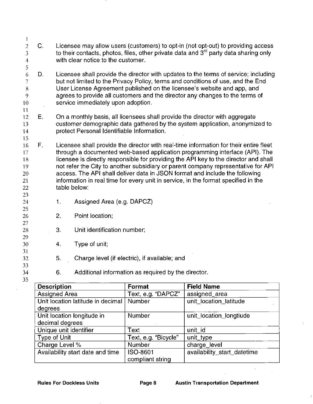|                                  |    | <b>Description</b> |                                                                                                                           | Format                                                                                                                                                                               | <b>Field Name</b>                                                                                                                                       |  |
|----------------------------------|----|--------------------|---------------------------------------------------------------------------------------------------------------------------|--------------------------------------------------------------------------------------------------------------------------------------------------------------------------------------|---------------------------------------------------------------------------------------------------------------------------------------------------------|--|
| 34<br>35                         |    | 6.                 |                                                                                                                           | Additional information as required by the director.                                                                                                                                  |                                                                                                                                                         |  |
| 32<br>33                         |    | 5.                 |                                                                                                                           | Charge level (if electric), if available; and                                                                                                                                        |                                                                                                                                                         |  |
| 31                               |    |                    |                                                                                                                           |                                                                                                                                                                                      |                                                                                                                                                         |  |
| 29<br>30                         |    | 4.                 | Type of unit;                                                                                                             |                                                                                                                                                                                      |                                                                                                                                                         |  |
| 27<br>28                         |    | 3.                 | Unit identification number;                                                                                               |                                                                                                                                                                                      |                                                                                                                                                         |  |
| 26                               |    | 2.                 | Point location;                                                                                                           |                                                                                                                                                                                      |                                                                                                                                                         |  |
| 25                               |    |                    |                                                                                                                           |                                                                                                                                                                                      |                                                                                                                                                         |  |
| 23<br>24                         |    | 1.                 | Assigned Area (e.g. DAPCZ)                                                                                                |                                                                                                                                                                                      |                                                                                                                                                         |  |
| 22                               |    |                    | table below:                                                                                                              |                                                                                                                                                                                      |                                                                                                                                                         |  |
| 21                               |    |                    |                                                                                                                           | information in real time for every unit in service, in the format specified in the                                                                                                   |                                                                                                                                                         |  |
| 20                               |    |                    |                                                                                                                           | access. The API shall deliver data in JSON format and include the following                                                                                                          |                                                                                                                                                         |  |
| 18<br>19                         |    |                    |                                                                                                                           | licensee is directly responsible for providing the API key to the director and shall<br>not refer the City to another subsidiary or parent company representative for API            |                                                                                                                                                         |  |
| 17                               |    |                    |                                                                                                                           |                                                                                                                                                                                      | through a documented web-based application programming interface (API). The                                                                             |  |
| 16                               | F. |                    |                                                                                                                           |                                                                                                                                                                                      | Licensee shall provide the director with real-time information for their entire fleet                                                                   |  |
| 15                               |    |                    |                                                                                                                           |                                                                                                                                                                                      |                                                                                                                                                         |  |
| 13<br>14                         |    |                    | customer demographic data gathered by the system application, anonymized to<br>protect Personal Identifiable Information. |                                                                                                                                                                                      |                                                                                                                                                         |  |
| 12                               | Ε. |                    |                                                                                                                           |                                                                                                                                                                                      | On a monthly basis, all licensees shall provide the director with aggregate                                                                             |  |
| 11                               |    |                    |                                                                                                                           |                                                                                                                                                                                      |                                                                                                                                                         |  |
| 10                               |    |                    | service immediately upon adoption.                                                                                        |                                                                                                                                                                                      |                                                                                                                                                         |  |
| 8<br>9                           |    |                    |                                                                                                                           |                                                                                                                                                                                      | User License Agreement published on the licensee's website and app, and<br>agrees to provide all customers and the director any changes to the terms of |  |
| $\overline{7}$                   |    |                    |                                                                                                                           |                                                                                                                                                                                      | but not limited to the Privacy Policy, terms and conditions of use, and the End                                                                         |  |
| 6                                | D. |                    |                                                                                                                           |                                                                                                                                                                                      | Licensee shall provide the director with updates to the terms of service; including                                                                     |  |
| 5                                |    |                    |                                                                                                                           |                                                                                                                                                                                      |                                                                                                                                                         |  |
| $\overline{3}$<br>$\overline{4}$ |    |                    | with clear notice to the customer.                                                                                        |                                                                                                                                                                                      |                                                                                                                                                         |  |
| $\overline{2}$                   | C. |                    |                                                                                                                           | Licensee may allow users (customers) to opt-in (not opt-out) to providing access<br>to their contacts, photos, files, other private data and 3 <sup>rd</sup> party data sharing only |                                                                                                                                                         |  |
| 1                                |    |                    |                                                                                                                           |                                                                                                                                                                                      |                                                                                                                                                         |  |

| <b>Description</b>                | Format               | <b>Field Name</b>           |
|-----------------------------------|----------------------|-----------------------------|
| <b>Assigned Area</b>              | Text, e.g. "DAPCZ"   | assigned_area               |
| Unit location latitude in decimal | Number               | unit_location_latitude      |
| degrees                           |                      |                             |
| Unit location longitude in        | Number               | unit_location_longtiude     |
| decimal degrees                   |                      |                             |
| Unique unit identifier            | Text                 | unit_id                     |
| Type of Unit                      | Text, e.g. "Bicycle" | unit_type                   |
| Charge Level %                    | Number               | charge_level                |
| Availability start date and time  | ISO-8601             | availability_start_datetime |
|                                   | compliant string     |                             |

 $\sim$ 

 $\hat{\boldsymbol{\beta}}$ 

 $\overline{a}$ 

 $\bar{t}$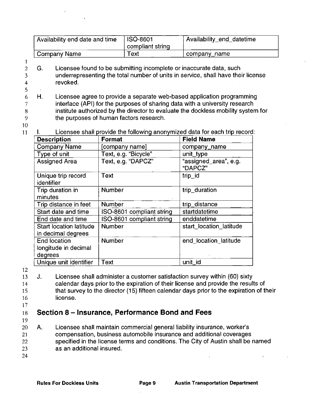| Availability end date and time | ISO-8601<br>compliant string | Availability_end_datetime |
|--------------------------------|------------------------------|---------------------------|
| Company Name                   | Text                         | company_name              |

- 2 G. Licensee found to be submitting incomplete or inaccurate data, such underrepresenting the total number of units in service, shall have their license revoked.
- 6 7 8 9 H. Licensee agree to provide a separate web-based application programming interface (API) for the purposes of sharing data with a university research institute authorized by the director to evaluate the dockless mobility system for the purposes of human factors research.

### 10 11

1

3 4 5

> Licensee shall provide the following anonymized data for each trip record:  $\mathbf{L}$

| <b>Description</b>                                     | Format                    | <b>Field Name</b>                |
|--------------------------------------------------------|---------------------------|----------------------------------|
| <b>Company Name</b>                                    | [company name]            | company_name                     |
| Type of unit                                           | Text, e.g. "Bicycle"      | unit_type                        |
| <b>Assigned Area</b>                                   | Text, e.g. "DAPCZ"        | "assigned_area", e.g.<br>"DAPCZ" |
| Unique trip record<br>identifier                       | Text                      | trip_id                          |
| Trip duration in<br>minutes                            | <b>Number</b>             | trip_duration                    |
| Trip distance in feet                                  | <b>Number</b>             | trip_distance                    |
| Start date and time                                    | ISO-8601 compliant string | startdatetime                    |
| End date and time                                      | ISO-8601 compliant string | enddatetime                      |
| Start location latitude<br>in decimal degrees          | <b>Number</b>             | start location latitude          |
| <b>End location</b><br>longitude in decimal<br>degrees | <b>Number</b>             | end location latitude            |
| Unique unit identifier                                 | Text                      | unit_id                          |

12

13 14 15 16 J. Licensee shall administer a customer satisfaction survey within (60) sixty calendar days prior to the expiration of their license and provide the results of that survey to the director (15) fifteen calendar days prior to the expiration of their license.

17

#### 18 **Section 8 - Insurance, Performance Bond and Fees**

- 19
- 20 21 22 23 A. Licensee shall maintain commercial general liability insurance, worker's compensation, business automobile insurance and additional coverages specified in the license terms and conditions. The City of Austin shall be named as an additional insured.
- 24